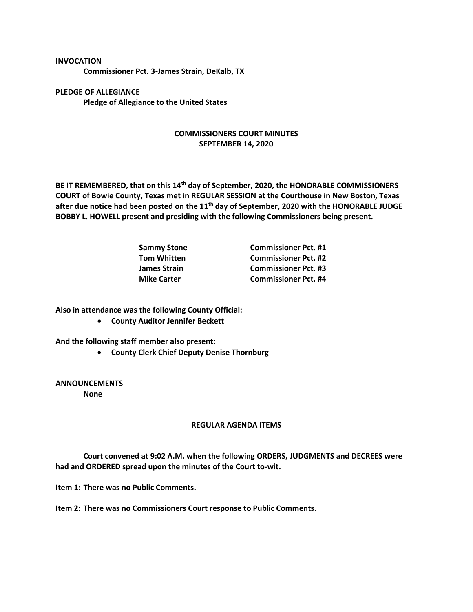**Commissioner Pct. 3-James Strain, DeKalb, TX**

**PLEDGE OF ALLEGIANCE Pledge of Allegiance to the United States**

**INVOCATION**

## **COMMISSIONERS COURT MINUTES SEPTEMBER 14, 2020**

**BE IT REMEMBERED, that on this 14th day of September, 2020, the HONORABLE COMMISSIONERS COURT of Bowie County, Texas met in REGULAR SESSION at the Courthouse in New Boston, Texas after due notice had been posted on the 11th day of September, 2020 with the HONORABLE JUDGE BOBBY L. HOWELL present and presiding with the following Commissioners being present.**

| Sammy Stone        | <b>Commissioner Pct. #1</b> |
|--------------------|-----------------------------|
| Tom Whitten        | <b>Commissioner Pct. #2</b> |
| James Strain       | <b>Commissioner Pct. #3</b> |
| <b>Mike Carter</b> | <b>Commissioner Pct. #4</b> |

**Also in attendance was the following County Official:**

• **County Auditor Jennifer Beckett**

**And the following staff member also present:**

• **County Clerk Chief Deputy Denise Thornburg**

**ANNOUNCEMENTS None**

## **REGULAR AGENDA ITEMS**

**Court convened at 9:02 A.M. when the following ORDERS, JUDGMENTS and DECREES were had and ORDERED spread upon the minutes of the Court to-wit.**

**Item 1: There was no Public Comments.**

**Item 2: There was no Commissioners Court response to Public Comments.**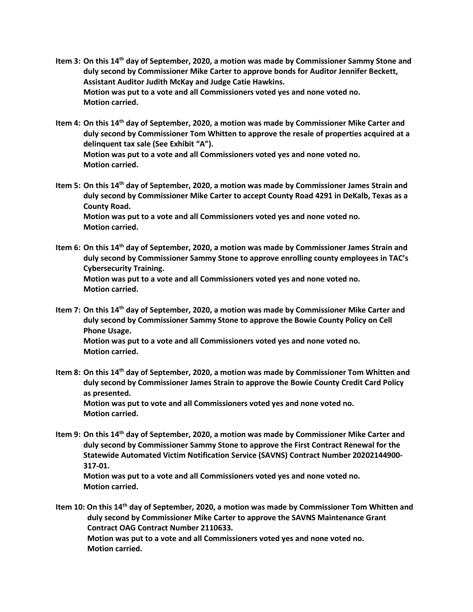- **Item 3: On this 14th day of September, 2020, a motion was made by Commissioner Sammy Stone and duly second by Commissioner Mike Carter to approve bonds for Auditor Jennifer Beckett, Assistant Auditor Judith McKay and Judge Catie Hawkins. Motion was put to a vote and all Commissioners voted yes and none voted no. Motion carried.**
- **Item 4: On this 14th day of September, 2020, a motion was made by Commissioner Mike Carter and duly second by Commissioner Tom Whitten to approve the resale of properties acquired at a delinquent tax sale (See Exhibit "A"). Motion was put to a vote and all Commissioners voted yes and none voted no. Motion carried.**
- **Item 5: On this 14th day of September, 2020, a motion was made by Commissioner James Strain and duly second by Commissioner Mike Carter to accept County Road 4291 in DeKalb, Texas as a County Road. Motion was put to a vote and all Commissioners voted yes and none voted no. Motion carried.**
- **Item 6: On this 14th day of September, 2020, a motion was made by Commissioner James Strain and duly second by Commissioner Sammy Stone to approve enrolling county employees in TAC's Cybersecurity Training. Motion was put to a vote and all Commissioners voted yes and none voted no. Motion carried.**
- **Item 7: On this 14th day of September, 2020, a motion was made by Commissioner Mike Carter and duly second by Commissioner Sammy Stone to approve the Bowie County Policy on Cell Phone Usage. Motion was put to a vote and all Commissioners voted yes and none voted no. Motion carried.**
- **Item 8: On this 14th day of September, 2020, a motion was made by Commissioner Tom Whitten and duly second by Commissioner James Strain to approve the Bowie County Credit Card Policy as presented. Motion was put to vote and all Commissioners voted yes and none voted no. Motion carried.**
- **Item 9: On this 14th day of September, 2020, a motion was made by Commissioner Mike Carter and duly second by Commissioner Sammy Stone to approve the First Contract Renewal for the Statewide Automated Victim Notification Service (SAVNS) Contract Number 20202144900- 317-01. Motion was put to a vote and all Commissioners voted yes and none voted no.**

**Motion carried.**

**Item 10: On this 14th day of September, 2020, a motion was made by Commissioner Tom Whitten and duly second by Commissioner Mike Carter to approve the SAVNS Maintenance Grant Contract OAG Contract Number 2110633. Motion was put to a vote and all Commissioners voted yes and none voted no. Motion carried.**